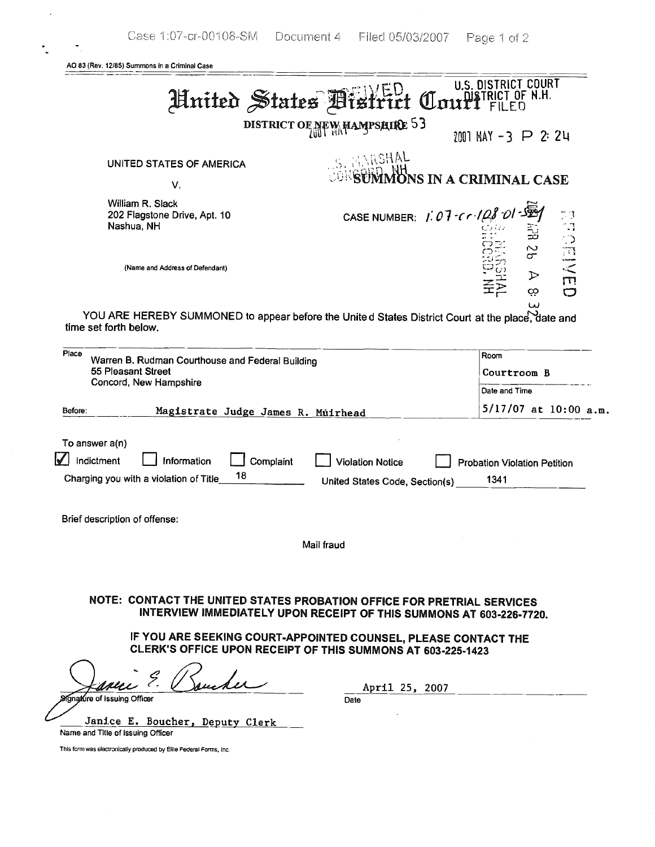Case 1:07-cr-00108-SM Document 4 Filed 05/03/2007 Page 1 of 2

AO 83 (Rev. 12/85) Summons in a Criminal Case

 $\ddot{\phantom{a}}$ 

 $\ddot{\phantom{1}}$ 

|                                                                                                                                               |                                                             | <b>U.S. DISTRICT COURT</b>                  |                |
|-----------------------------------------------------------------------------------------------------------------------------------------------|-------------------------------------------------------------|---------------------------------------------|----------------|
| Hnited States District Court FILED                                                                                                            |                                                             |                                             |                |
|                                                                                                                                               | DISTRICT OF NEW HAMPSHIRE 53                                |                                             |                |
|                                                                                                                                               |                                                             | 2001 MAY $-3$ $\Box$ 2: 24                  |                |
| UNITED STATES OF AMERICA                                                                                                                      | <b>1.5. MARSHAL</b>                                         |                                             |                |
| v.                                                                                                                                            |                                                             | ONS IN A CRIMINAL CASE                      |                |
| William R. Slack                                                                                                                              |                                                             |                                             |                |
| 202 Flagstone Drive, Apt. 10                                                                                                                  | CASE NUMBER: $1.07 - C r \cdot 108 \cdot 01 - \frac{C}{27}$ |                                             |                |
| Nashua, NH                                                                                                                                    |                                                             |                                             |                |
|                                                                                                                                               |                                                             | $\frac{1}{\sigma}$                          | <b>いつつコンロワ</b> |
| (Name and Address of Defendant)                                                                                                               |                                                             | $\triangleright$                            |                |
|                                                                                                                                               |                                                             | ထု                                          |                |
| YOU ARE HEREBY SUMMONED to appear before the Unite d States District Court at the place, date and                                             |                                                             | س                                           |                |
| time set forth below.                                                                                                                         |                                                             |                                             |                |
| Place                                                                                                                                         |                                                             | Room                                        |                |
| Warren B. Rudman Courthouse and Federal Building<br>55 Pleasant Street                                                                        |                                                             | Courtroom B                                 |                |
| Concord, New Hampshire                                                                                                                        |                                                             |                                             |                |
|                                                                                                                                               |                                                             | Date and Time                               |                |
| Magistrate Judge James R. Muirhead                                                                                                            |                                                             | $5/17/07$ at $10:00$ a.m.                   |                |
| Before:<br>To answer a(n)<br>Indictment<br>Information<br>Complaint<br>18<br>Charging you with a violation of Title                           | <b>Violation Notice</b><br>United States Code, Section(s)   | <b>Probation Violation Petition</b><br>1341 |                |
| Brief description of offense:                                                                                                                 |                                                             |                                             |                |
|                                                                                                                                               | Mail fraud                                                  |                                             |                |
|                                                                                                                                               |                                                             |                                             |                |
|                                                                                                                                               |                                                             |                                             |                |
| NOTE: CONTACT THE UNITED STATES PROBATION OFFICE FOR PRETRIAL SERVICES<br>INTERVIEW IMMEDIATELY UPON RECEIPT OF THIS SUMMONS AT 603-226-7720. |                                                             |                                             |                |
| IF YOU ARE SEEKING COURT-APPOINTED COUNSEL, PLEASE CONTACT THE<br>CLERK'S OFFICE UPON RECEIPT OF THIS SUMMONS AT 603-225-1423                 |                                                             |                                             |                |
|                                                                                                                                               |                                                             |                                             |                |
|                                                                                                                                               | April 25, 2007                                              |                                             |                |
| Hanakure of Issuing Officer                                                                                                                   | Date                                                        |                                             |                |
| Janice E. Boucher, Deputy Clerk<br>Name and Title of Issuing Officer                                                                          |                                                             |                                             |                |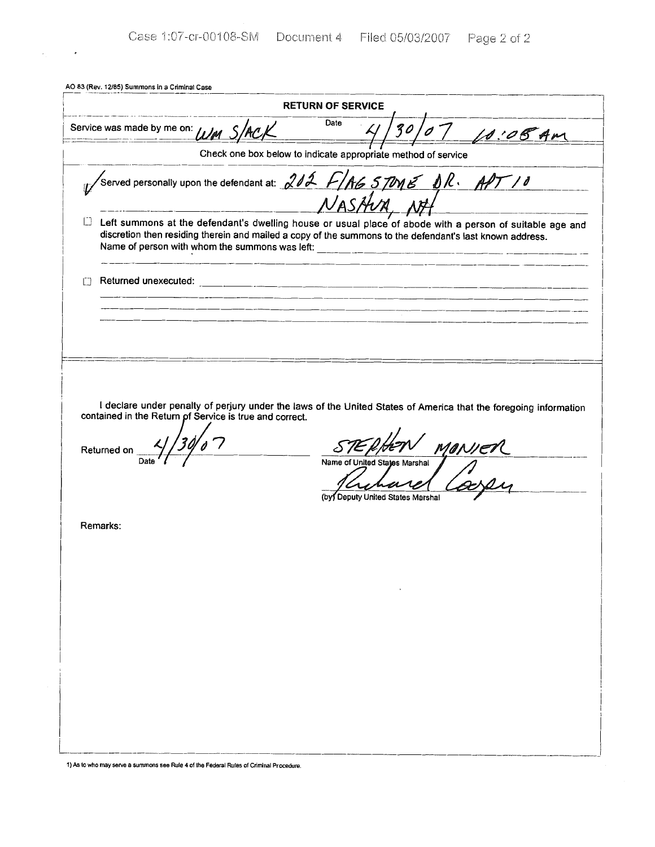$\ddot{\phantom{1}}$ 

|     | <b>RETURN OF SERVICE</b>                                                                                                                                                                                                                                                                                                                                                                     |
|-----|----------------------------------------------------------------------------------------------------------------------------------------------------------------------------------------------------------------------------------------------------------------------------------------------------------------------------------------------------------------------------------------------|
|     | Date<br>Service was made by me on: WM S/<br>'AC,<br>10:05 AM                                                                                                                                                                                                                                                                                                                                 |
|     | Check one box below to indicate appropriate method of service                                                                                                                                                                                                                                                                                                                                |
|     | Served personally upon the defendant at: 202 F/A6 570M & DR. APT 10<br>NASAUA, NA                                                                                                                                                                                                                                                                                                            |
| IJ. | Left summons at the defendant's dwelling house or usual place of abode with a person of suitable age and<br>discretion then residing therein and mailed a copy of the summons to the defendant's last known address.<br>Name of person with whom the summons was left:<br>.<br>The company of the party of the company party and the company with party of the company of the company of the |
| П   | Returned unexecuted:<br>.<br>The company of the company of the company of the company of the company of the company of the company of the c                                                                                                                                                                                                                                                  |
|     |                                                                                                                                                                                                                                                                                                                                                                                              |
|     |                                                                                                                                                                                                                                                                                                                                                                                              |
|     |                                                                                                                                                                                                                                                                                                                                                                                              |
|     |                                                                                                                                                                                                                                                                                                                                                                                              |
|     | contained in the Return of Service is true and correct.<br>MONIER<br>Returned on<br>Name of United States Marshal<br>(by Deputy United States Marshal                                                                                                                                                                                                                                        |
|     | Remarks:                                                                                                                                                                                                                                                                                                                                                                                     |
|     |                                                                                                                                                                                                                                                                                                                                                                                              |
|     |                                                                                                                                                                                                                                                                                                                                                                                              |
|     |                                                                                                                                                                                                                                                                                                                                                                                              |
|     |                                                                                                                                                                                                                                                                                                                                                                                              |
|     | I declare under penalty of perjury under the laws of the United States of America that the foregoing information                                                                                                                                                                                                                                                                             |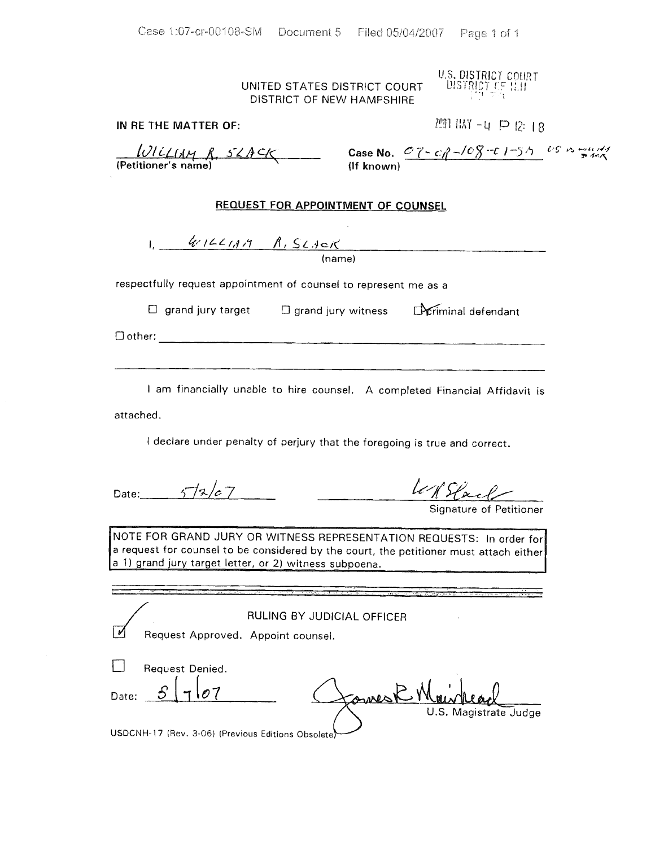| UNITED STATES DISTRICT COURT |  |  |  |
|------------------------------|--|--|--|
| DISTRICT OF NEW HAMPSHIRF    |  |  |  |

U.S. DISTRICT COURT DISTRICT CF H.H.

|  |  |  |  |  |  |  |  |  |  | IN RE THE MATTER OF: |  |
|--|--|--|--|--|--|--|--|--|--|----------------------|--|
|--|--|--|--|--|--|--|--|--|--|----------------------|--|

 $101$   $14$   $-4$   $-12$   $18$ 

| WILLIAM R. SLACK    |  |  |
|---------------------|--|--|
| (Petitioner's name) |  |  |

|            | Case No. $0.7 - c_0$ -108-01-54 05 A -14 |  |
|------------|------------------------------------------|--|
| (If known) |                                          |  |

## REQUEST FOR APPOINTMENT OF COUNSEL

<u>WILLIAM R. SLACK</u>

(name)

respectfully request appointment of counsel to represent me as a

grand jury target o grand jury witness mina! defendant

o other:

I am financially unable to hire counsel. A completed Financial Affidavit is

attached.

I declare under penalty of perjury that the foregoing is true and correct.

Date:  $5/2|c7|$  left  $2/2$ 

Signature of Petitioner

NOTE FOR GRAND JURY OR WITNESS REPRESENTATION REQUESTS: In order for a request for counsel to be considered by the court, the petitioner must attach either a 1) grand jury target letter, or 2) witness subpoena.

|       | $\overline{ }$<br><del>. .</del> .<br>$\overline{a}$ $\overline{a}$ $\overline{a}$ $\overline{a}$ $\overline{a}$ $\overline{a}$ $\overline{a}$ $\overline{a}$ $\overline{a}$ $\overline{a}$ $\overline{a}$ $\overline{a}$ $\overline{a}$ $\overline{a}$ $\overline{a}$ $\overline{a}$ $\overline{a}$ $\overline{a}$ $\overline{a}$ $\overline{a}$ $\overline{a}$ $\overline{a}$ $\overline{a}$ $\overline{a}$ $\overline{$<br>$-1$<br>$x^2y^2$ e<br>an sales and the second second<br><b>11.000</b><br>7 T Y W W T<br>ΣΜ, 125<br><b>THAT A SHOULD BY BY</b> |
|-------|-------------------------------------------------------------------------------------------------------------------------------------------------------------------------------------------------------------------------------------------------------------------------------------------------------------------------------------------------------------------------------------------------------------------------------------------------------------------------------------------------------------------------------------------------------------|
|       | <b>Contract</b><br>At Mind of Congress of the Congress<br>. 1.01<br>RULING BY JUDICIAL OFFICER<br>Request Approved. Appoint counsel.                                                                                                                                                                                                                                                                                                                                                                                                                        |
| Date: | Request Denied.                                                                                                                                                                                                                                                                                                                                                                                                                                                                                                                                             |
|       | U.S. Magistrate Judge<br>USDCNH-17 (Rev. 3-06) (Previous Editions Obsolete)                                                                                                                                                                                                                                                                                                                                                                                                                                                                                 |